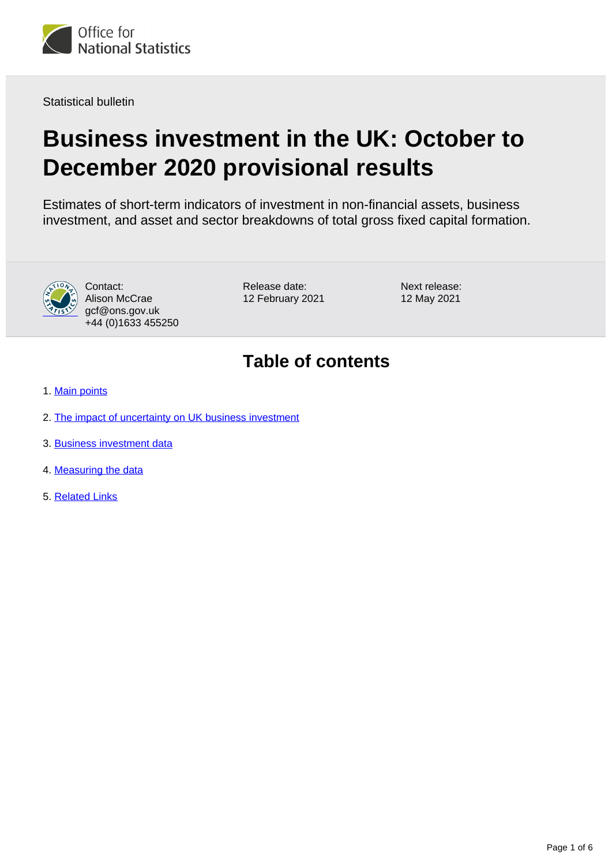

Statistical bulletin

# **Business investment in the UK: October to December 2020 provisional results**

Estimates of short-term indicators of investment in non-financial assets, business investment, and asset and sector breakdowns of total gross fixed capital formation.



Contact: Alison McCrae gcf@ons.gov.uk +44 (0)1633 455250 Release date: 12 February 2021 Next release: 12 May 2021

## **Table of contents**

- 1. [Main points](#page-1-0)
- 2. [The impact of uncertainty on UK business investment](#page-1-1)
- 3. [Business investment data](#page-4-0)
- 4. [Measuring the data](#page-4-1)
- 5. [Related Links](#page-5-0)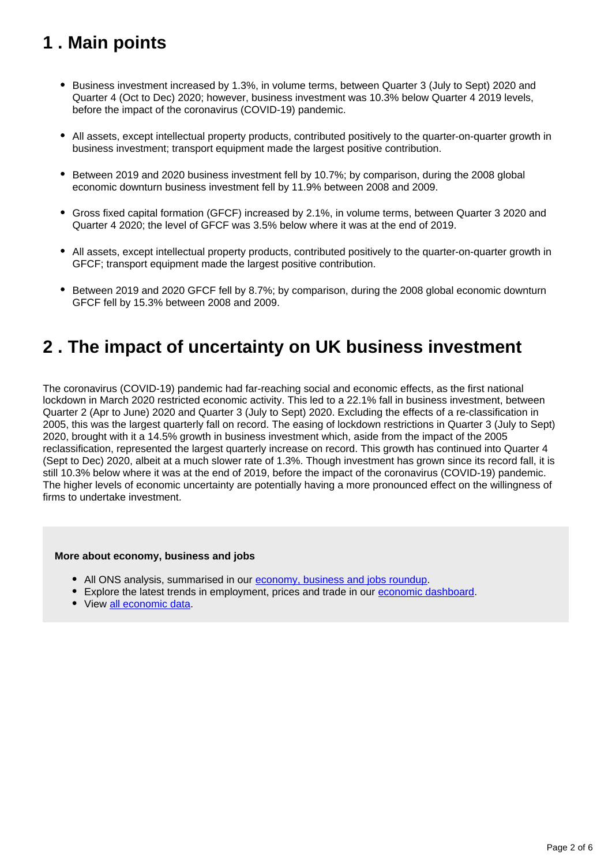## <span id="page-1-0"></span>**1 . Main points**

- Business investment increased by 1.3%, in volume terms, between Quarter 3 (July to Sept) 2020 and Quarter 4 (Oct to Dec) 2020; however, business investment was 10.3% below Quarter 4 2019 levels, before the impact of the coronavirus (COVID-19) pandemic.
- All assets, except intellectual property products, contributed positively to the quarter-on-quarter growth in business investment; transport equipment made the largest positive contribution.
- **Between 2019 and 2020 business investment fell by 10.7%; by comparison, during the 2008 global** economic downturn business investment fell by 11.9% between 2008 and 2009.
- Gross fixed capital formation (GFCF) increased by 2.1%, in volume terms, between Quarter 3 2020 and Quarter 4 2020; the level of GFCF was 3.5% below where it was at the end of 2019.
- All assets, except intellectual property products, contributed positively to the quarter-on-quarter growth in GFCF; transport equipment made the largest positive contribution.
- **Between 2019 and 2020 GFCF fell by 8.7%; by comparison, during the 2008 global economic downturn** GFCF fell by 15.3% between 2008 and 2009.

## <span id="page-1-1"></span>**2 . The impact of uncertainty on UK business investment**

The coronavirus (COVID-19) pandemic had far-reaching social and economic effects, as the first national lockdown in March 2020 restricted economic activity. This led to a 22.1% fall in business investment, between Quarter 2 (Apr to June) 2020 and Quarter 3 (July to Sept) 2020. Excluding the effects of a re-classification in 2005, this was the largest quarterly fall on record. The easing of lockdown restrictions in Quarter 3 (July to Sept) 2020, brought with it a 14.5% growth in business investment which, aside from the impact of the 2005 reclassification, represented the largest quarterly increase on record. This growth has continued into Quarter 4 (Sept to Dec) 2020, albeit at a much slower rate of 1.3%. Though investment has grown since its record fall, it is still 10.3% below where it was at the end of 2019, before the impact of the coronavirus (COVID-19) pandemic. The higher levels of economic uncertainty are potentially having a more pronounced effect on the willingness of firms to undertake investment.

#### **More about economy, business and jobs**

- All ONS analysis, summarised in our [economy, business and jobs roundup.](https://www.ons.gov.uk/economy/economicoutputandproductivity/output/articles/ukeconomylatest/2021-01-25)
- Explore the latest trends in employment, prices and trade in our [economic dashboard.](https://www.ons.gov.uk/economy/nationalaccounts/articles/dashboardunderstandingtheukeconomy/2017-02-22)
- View [all economic data](https://www.ons.gov.uk/economy/datalist?filter=datasets).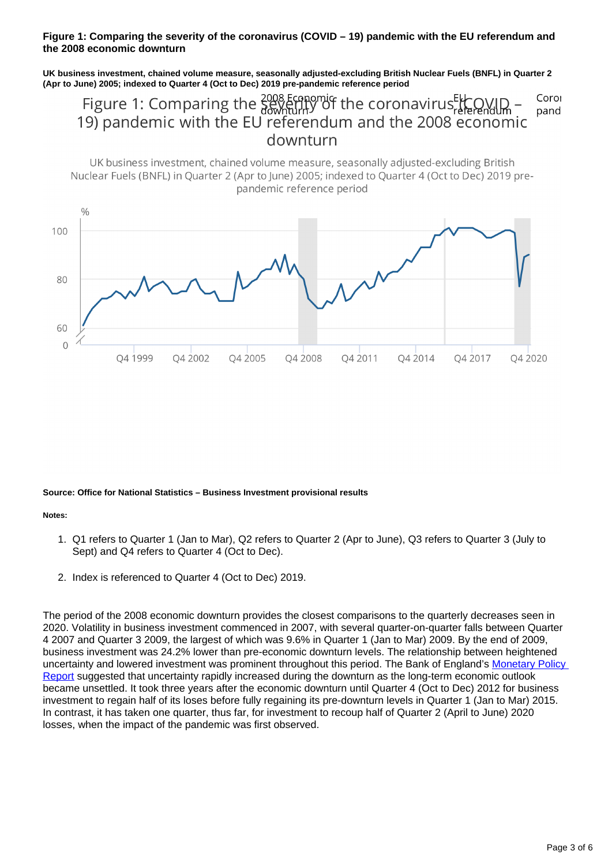#### **Figure 1: Comparing the severity of the coronavirus (COVID – 19) pandemic with the EU referendum and the 2008 economic downturn**

**UK business investment, chained volume measure, seasonally adjusted-excluding British Nuclear Fuels (BNFL) in Quarter 2 (Apr to June) 2005; indexed to Quarter 4 (Oct to Dec) 2019 pre-pandemic reference period**

Figure 1: Comparing the  $\frac{2008}{3600}$  figure 1: Comparing the  $\frac{2008}{3600}$  fully of the coronavirus  $\frac{E(K)}{E(F)}$  conomic<br>19) pandemic with the EU referendum and the 2008 economic Corol pand downturn

UK business investment, chained volume measure, seasonally adjusted-excluding British Nuclear Fuels (BNFL) in Ouarter 2 (Apr to lune) 2005; indexed to Ouarter 4 (Oct to Dec) 2019 prepandemic reference period



**Source: Office for National Statistics – Business Investment provisional results**

**Notes:**

- 1. Q1 refers to Quarter 1 (Jan to Mar), Q2 refers to Quarter 2 (Apr to June), Q3 refers to Quarter 3 (July to Sept) and Q4 refers to Quarter 4 (Oct to Dec).
- 2. Index is referenced to Quarter 4 (Oct to Dec) 2019.

The period of the 2008 economic downturn provides the closest comparisons to the quarterly decreases seen in 2020. Volatility in business investment commenced in 2007, with several quarter-on-quarter falls between Quarter 4 2007 and Quarter 3 2009, the largest of which was 9.6% in Quarter 1 (Jan to Mar) 2009. By the end of 2009, business investment was 24.2% lower than pre-economic downturn levels. The relationship between heightened uncertainty and lowered investment was prominent throughout this period. The Bank of England's [Monetary Policy](https://www.bankofengland.co.uk/monetary-policy-report/2019/november-2019/in-focus-uncertainty-and-brexit)  [Report](https://www.bankofengland.co.uk/monetary-policy-report/2019/november-2019/in-focus-uncertainty-and-brexit) suggested that uncertainty rapidly increased during the downturn as the long-term economic outlook became unsettled. It took three years after the economic downturn until Quarter 4 (Oct to Dec) 2012 for business investment to regain half of its loses before fully regaining its pre-downturn levels in Quarter 1 (Jan to Mar) 2015. In contrast, it has taken one quarter, thus far, for investment to recoup half of Quarter 2 (April to June) 2020 losses, when the impact of the pandemic was first observed.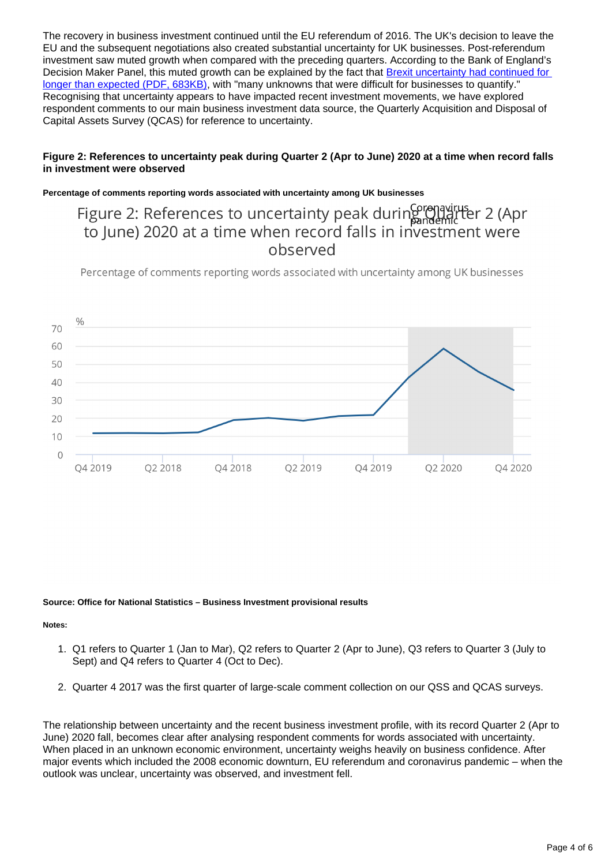The recovery in business investment continued until the EU referendum of 2016. The UK's decision to leave the EU and the subsequent negotiations also created substantial uncertainty for UK businesses. Post-referendum investment saw muted growth when compared with the preceding quarters. According to the Bank of England's Decision Maker Panel, this muted growth can be explained by the fact that Brexit uncertainty had continued for [longer than expected \(PDF, 683KB\),](https://www.bankofengland.co.uk/-/media/boe/files/working-paper/2019/brexit-and-uncertainty-insights-from-the-decision-maker-panel.pdf) with "many unknowns that were difficult for businesses to quantify." Recognising that uncertainty appears to have impacted recent investment movements, we have explored respondent comments to our main business investment data source, the Quarterly Acquisition and Disposal of Capital Assets Survey (QCAS) for reference to uncertainty.

#### **Figure 2: References to uncertainty peak during Quarter 2 (Apr to June) 2020 at a time when record falls in investment were observed**

#### **Percentage of comments reporting words associated with uncertainty among UK businesses**

### Figure 2: References to uncertainty peak during meanicle 2 (Apr to lune) 2020 at a time when record falls in investment were observed

Percentage of comments reporting words associated with uncertainty among UK businesses



#### **Source: Office for National Statistics – Business Investment provisional results**

#### **Notes:**

- 1. Q1 refers to Quarter 1 (Jan to Mar), Q2 refers to Quarter 2 (Apr to June), Q3 refers to Quarter 3 (July to Sept) and Q4 refers to Quarter 4 (Oct to Dec).
- 2. Quarter 4 2017 was the first quarter of large-scale comment collection on our QSS and QCAS surveys.

The relationship between uncertainty and the recent business investment profile, with its record Quarter 2 (Apr to June) 2020 fall, becomes clear after analysing respondent comments for words associated with uncertainty. When placed in an unknown economic environment, uncertainty weighs heavily on business confidence. After major events which included the 2008 economic downturn, EU referendum and coronavirus pandemic – when the outlook was unclear, uncertainty was observed, and investment fell.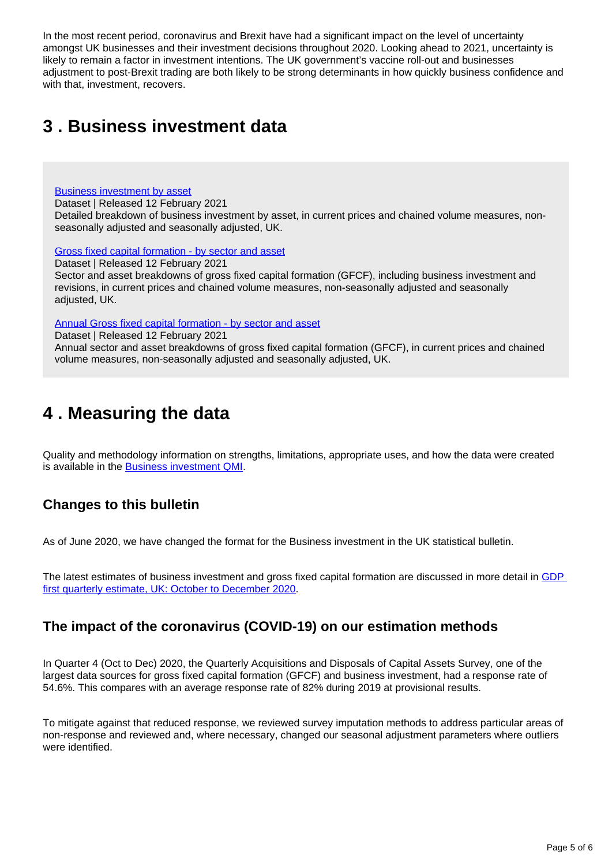In the most recent period, coronavirus and Brexit have had a significant impact on the level of uncertainty amongst UK businesses and their investment decisions throughout 2020. Looking ahead to 2021, uncertainty is likely to remain a factor in investment intentions. The UK government's vaccine roll-out and businesses adjustment to post-Brexit trading are both likely to be strong determinants in how quickly business confidence and with that, investment, recovers.

## <span id="page-4-0"></span>**3 . Business investment data**

[Business investment by asset](https://www.ons.gov.uk/economy/grossdomesticproductgdp/datasets/businessinvestmentbyasset)

Dataset | Released 12 February 2021

Detailed breakdown of business investment by asset, in current prices and chained volume measures, nonseasonally adjusted and seasonally adjusted, UK.

[Gross fixed capital formation - by sector and asset](https://www.ons.gov.uk/economy/grossdomesticproductgdp/datasets/grossfixedcapitalformationbysectorandasset)

Dataset | Released 12 February 2021

Sector and asset breakdowns of gross fixed capital formation (GFCF), including business investment and revisions, in current prices and chained volume measures, non-seasonally adjusted and seasonally adjusted, UK.

[Annual Gross fixed capital formation - by sector and asset](https://www.ons.gov.uk/economy/grossdomesticproductgdp/datasets/annualgrossfixedcapitalformationbyindustryandasset)

Dataset | Released 12 February 2021

Annual sector and asset breakdowns of gross fixed capital formation (GFCF), in current prices and chained volume measures, non-seasonally adjusted and seasonally adjusted, UK.

## <span id="page-4-1"></span>**4 . Measuring the data**

Quality and methodology information on strengths, limitations, appropriate uses, and how the data were created is available in the **[Business investment QMI](https://www.ons.gov.uk/economy/investmentspensionsandtrusts/methodologies/businessinvestmentqmi)**.

### **Changes to this bulletin**

As of June 2020, we have changed the format for the Business investment in the UK statistical bulletin.

The latest estimates of business investment and gross fixed capital formation are discussed in more detail in GDP [first quarterly estimate, UK: October to December 2020.](https://www.ons.gov.uk/economy/grossdomesticproductgdp/bulletins/gdpfirstquarterlyestimateuk/octobertodecember2020)

### **The impact of the coronavirus (COVID-19) on our estimation methods**

In Quarter 4 (Oct to Dec) 2020, the Quarterly Acquisitions and Disposals of Capital Assets Survey, one of the largest data sources for gross fixed capital formation (GFCF) and business investment, had a response rate of 54.6%. This compares with an average response rate of 82% during 2019 at provisional results.

To mitigate against that reduced response, we reviewed survey imputation methods to address particular areas of non-response and reviewed and, where necessary, changed our seasonal adjustment parameters where outliers were identified.